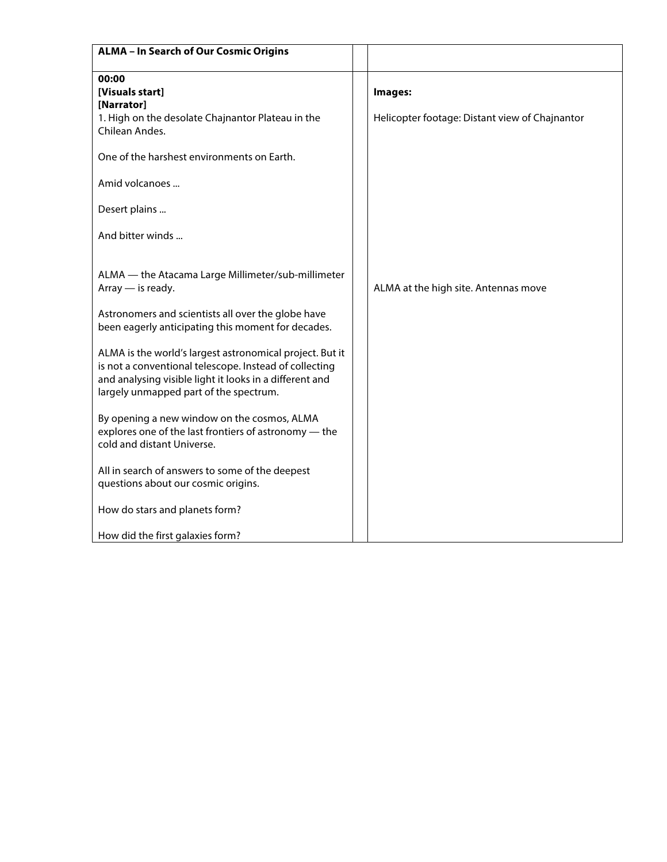| <b>ALMA - In Search of Our Cosmic Origins</b>                                                                                                                                                                           |                                                |
|-------------------------------------------------------------------------------------------------------------------------------------------------------------------------------------------------------------------------|------------------------------------------------|
| 00:00<br>[Visuals start]<br>[Narrator]                                                                                                                                                                                  | Images:                                        |
| 1. High on the desolate Chajnantor Plateau in the<br>Chilean Andes.                                                                                                                                                     | Helicopter footage: Distant view of Chajnantor |
| One of the harshest environments on Earth.                                                                                                                                                                              |                                                |
| Amid volcanoes                                                                                                                                                                                                          |                                                |
| Desert plains                                                                                                                                                                                                           |                                                |
| And bitter winds                                                                                                                                                                                                        |                                                |
| ALMA - the Atacama Large Millimeter/sub-millimeter<br>Array - is ready.                                                                                                                                                 | ALMA at the high site. Antennas move           |
| Astronomers and scientists all over the globe have<br>been eagerly anticipating this moment for decades.                                                                                                                |                                                |
| ALMA is the world's largest astronomical project. But it<br>is not a conventional telescope. Instead of collecting<br>and analysing visible light it looks in a different and<br>largely unmapped part of the spectrum. |                                                |
| By opening a new window on the cosmos, ALMA<br>explores one of the last frontiers of astronomy - the<br>cold and distant Universe.                                                                                      |                                                |
| All in search of answers to some of the deepest<br>questions about our cosmic origins.                                                                                                                                  |                                                |
| How do stars and planets form?                                                                                                                                                                                          |                                                |
| How did the first galaxies form?                                                                                                                                                                                        |                                                |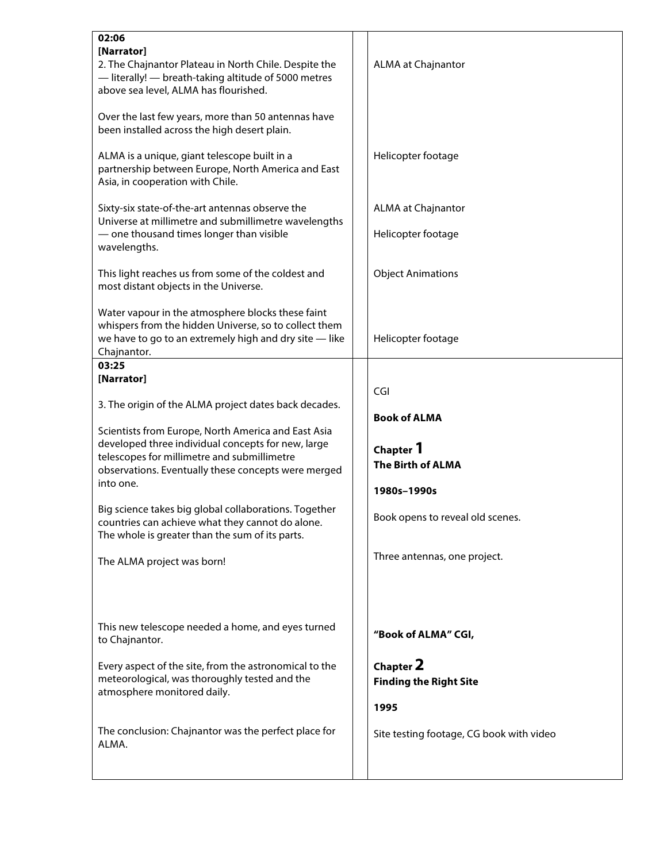| 02:06<br>[Narrator]<br>2. The Chajnantor Plateau in North Chile. Despite the<br>-literally! - breath-taking altitude of 5000 metres<br>above sea level, ALMA has flourished.                                                 | ALMA at Chajnantor                                                          |
|------------------------------------------------------------------------------------------------------------------------------------------------------------------------------------------------------------------------------|-----------------------------------------------------------------------------|
| Over the last few years, more than 50 antennas have<br>been installed across the high desert plain.                                                                                                                          |                                                                             |
| ALMA is a unique, giant telescope built in a<br>partnership between Europe, North America and East<br>Asia, in cooperation with Chile.                                                                                       | Helicopter footage                                                          |
| Sixty-six state-of-the-art antennas observe the<br>Universe at millimetre and submillimetre wavelengths                                                                                                                      | <b>ALMA</b> at Chajnantor                                                   |
| - one thousand times longer than visible<br>wavelengths.                                                                                                                                                                     | Helicopter footage                                                          |
| This light reaches us from some of the coldest and<br>most distant objects in the Universe.                                                                                                                                  | <b>Object Animations</b>                                                    |
| Water vapour in the atmosphere blocks these faint<br>whispers from the hidden Universe, so to collect them<br>we have to go to an extremely high and dry site - like<br>Chajnantor.                                          | Helicopter footage                                                          |
| 03:25<br>[Narrator]                                                                                                                                                                                                          |                                                                             |
| 3. The origin of the ALMA project dates back decades.                                                                                                                                                                        | CGI                                                                         |
| Scientists from Europe, North America and East Asia<br>developed three individual concepts for new, large<br>telescopes for millimetre and submillimetre<br>observations. Eventually these concepts were merged<br>into one. | <b>Book of ALMA</b><br>Chapter 1<br><b>The Birth of ALMA</b><br>1980s-1990s |
| Big science takes big global collaborations. Together<br>countries can achieve what they cannot do alone.<br>The whole is greater than the sum of its parts.                                                                 | Book opens to reveal old scenes.                                            |
| The ALMA project was born!                                                                                                                                                                                                   | Three antennas, one project.                                                |
| This new telescope needed a home, and eyes turned<br>to Chajnantor.                                                                                                                                                          | "Book of ALMA" CGI,                                                         |
| Every aspect of the site, from the astronomical to the<br>meteorological, was thoroughly tested and the<br>atmosphere monitored daily.                                                                                       | <b>Chapter 2</b><br><b>Finding the Right Site</b>                           |
|                                                                                                                                                                                                                              | 1995                                                                        |
| The conclusion: Chajnantor was the perfect place for<br>ALMA.                                                                                                                                                                | Site testing footage, CG book with video                                    |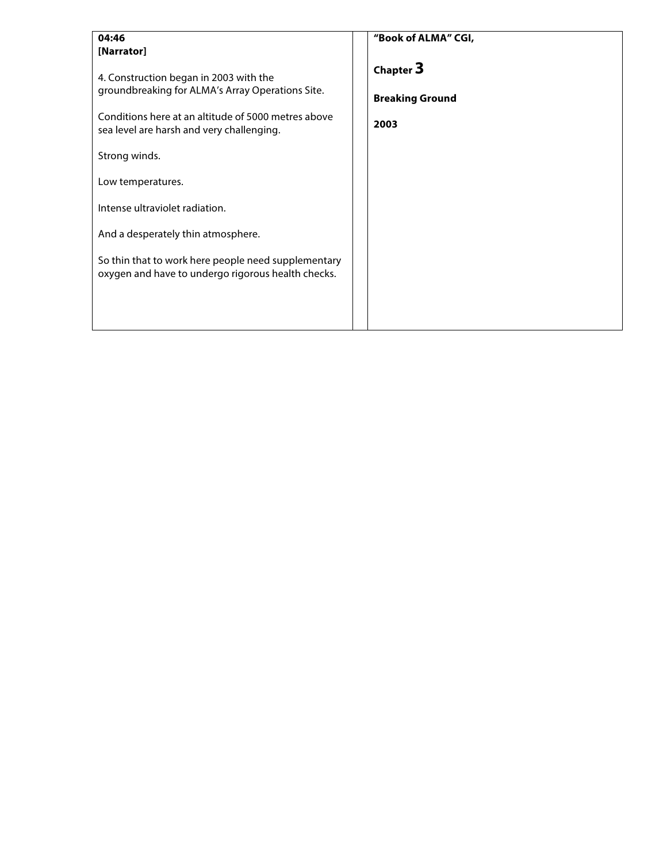| 04:46<br>[Narrator]<br>4. Construction began in 2003 with the<br>groundbreaking for ALMA's Array Operations Site.<br>Conditions here at an altitude of 5000 metres above | "Book of ALMA" CGI,<br>Chapter 3<br><b>Breaking Ground</b> |
|--------------------------------------------------------------------------------------------------------------------------------------------------------------------------|------------------------------------------------------------|
| sea level are harsh and very challenging.<br>Strong winds.<br>Low temperatures.<br>Intense ultraviolet radiation.                                                        | 2003                                                       |
| And a desperately thin atmosphere.<br>So thin that to work here people need supplementary<br>oxygen and have to undergo rigorous health checks.                          |                                                            |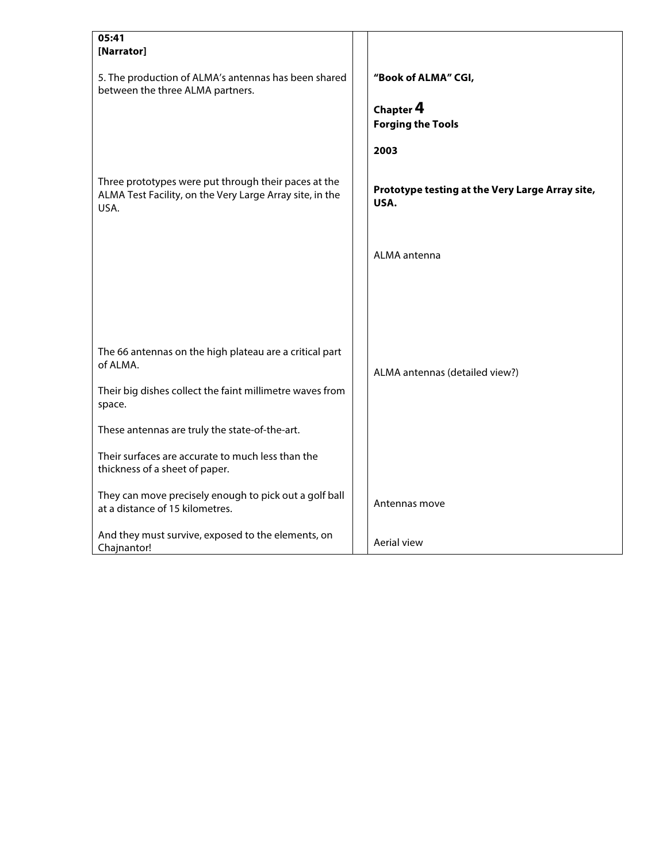| 05:41                                                                                                                    |                                                         |
|--------------------------------------------------------------------------------------------------------------------------|---------------------------------------------------------|
| [Narrator]                                                                                                               |                                                         |
| 5. The production of ALMA's antennas has been shared<br>between the three ALMA partners.                                 | "Book of ALMA" CGI,                                     |
|                                                                                                                          | Chapter 4<br><b>Forging the Tools</b>                   |
|                                                                                                                          | 2003                                                    |
| Three prototypes were put through their paces at the<br>ALMA Test Facility, on the Very Large Array site, in the<br>USA. | Prototype testing at the Very Large Array site,<br>USA. |
|                                                                                                                          | ALMA antenna                                            |
|                                                                                                                          |                                                         |
| The 66 antennas on the high plateau are a critical part<br>of ALMA.                                                      | ALMA antennas (detailed view?)                          |
| Their big dishes collect the faint millimetre waves from<br>space.                                                       |                                                         |
| These antennas are truly the state-of-the-art.                                                                           |                                                         |
| Their surfaces are accurate to much less than the<br>thickness of a sheet of paper.                                      |                                                         |
| They can move precisely enough to pick out a golf ball<br>at a distance of 15 kilometres.                                | Antennas move                                           |
| And they must survive, exposed to the elements, on<br>Chajnantor!                                                        | Aerial view                                             |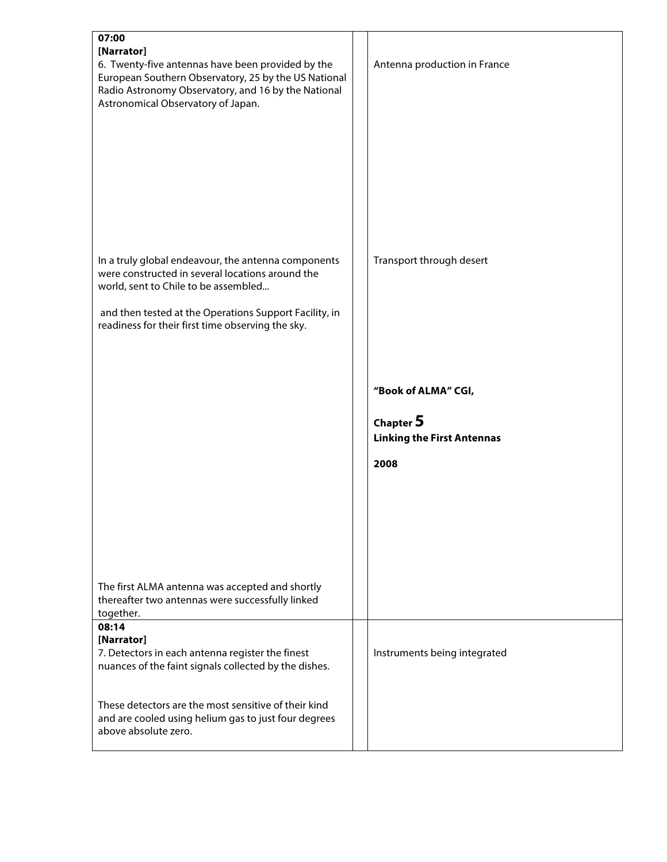| 07:00<br>[Narrator]<br>6. Twenty-five antennas have been provided by the<br>European Southern Observatory, 25 by the US National<br>Radio Astronomy Observatory, and 16 by the National<br>Astronomical Observatory of Japan.                                  | Antenna production in France                                                  |
|----------------------------------------------------------------------------------------------------------------------------------------------------------------------------------------------------------------------------------------------------------------|-------------------------------------------------------------------------------|
| In a truly global endeavour, the antenna components<br>were constructed in several locations around the<br>world, sent to Chile to be assembled<br>and then tested at the Operations Support Facility, in<br>readiness for their first time observing the sky. | Transport through desert                                                      |
|                                                                                                                                                                                                                                                                | "Book of ALMA" CGI,<br>Chapter 5<br><b>Linking the First Antennas</b><br>2008 |
| The first ALMA antenna was accepted and shortly<br>thereafter two antennas were successfully linked<br>together.                                                                                                                                               |                                                                               |
| 08:14<br>[Narrator]<br>7. Detectors in each antenna register the finest<br>nuances of the faint signals collected by the dishes.                                                                                                                               | Instruments being integrated                                                  |
| These detectors are the most sensitive of their kind<br>and are cooled using helium gas to just four degrees<br>above absolute zero.                                                                                                                           |                                                                               |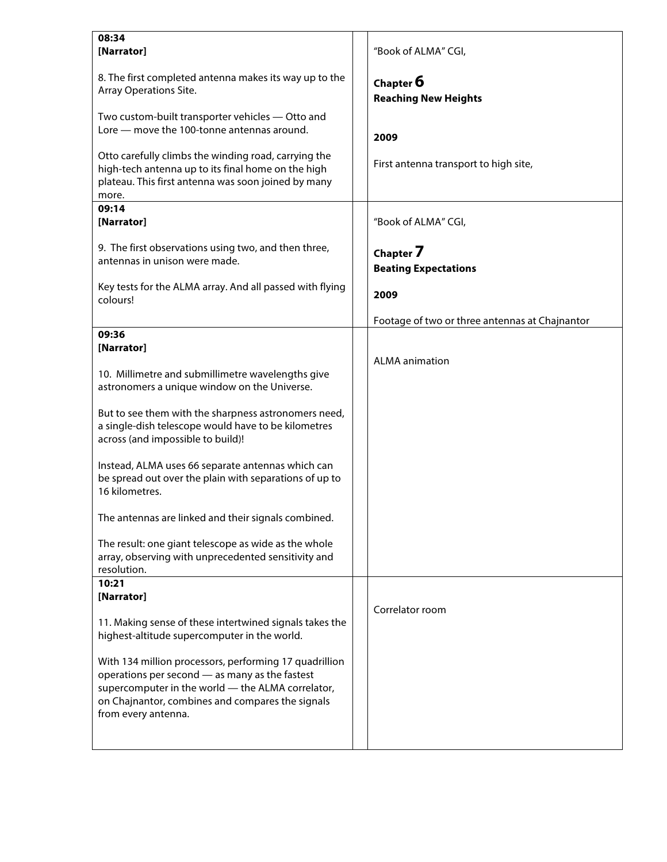| 08:34                                                                                                                                                                                                                                    |                                                |
|------------------------------------------------------------------------------------------------------------------------------------------------------------------------------------------------------------------------------------------|------------------------------------------------|
| [Narrator]                                                                                                                                                                                                                               | "Book of ALMA" CGI,                            |
| 8. The first completed antenna makes its way up to the<br>Array Operations Site.                                                                                                                                                         | Chapter 6<br><b>Reaching New Heights</b>       |
| Two custom-built transporter vehicles - Otto and<br>Lore - move the 100-tonne antennas around.                                                                                                                                           | 2009                                           |
| Otto carefully climbs the winding road, carrying the<br>high-tech antenna up to its final home on the high<br>plateau. This first antenna was soon joined by many<br>more.                                                               | First antenna transport to high site,          |
| 09:14                                                                                                                                                                                                                                    |                                                |
| [Narrator]                                                                                                                                                                                                                               | "Book of ALMA" CGI,                            |
| 9. The first observations using two, and then three,<br>antennas in unison were made.                                                                                                                                                    | Chapter 7<br><b>Beating Expectations</b>       |
| Key tests for the ALMA array. And all passed with flying<br>colours!                                                                                                                                                                     | 2009                                           |
|                                                                                                                                                                                                                                          | Footage of two or three antennas at Chajnantor |
| 09:36<br>[Narrator]                                                                                                                                                                                                                      | <b>ALMA</b> animation                          |
| 10. Millimetre and submillimetre wavelengths give<br>astronomers a unique window on the Universe.                                                                                                                                        |                                                |
| But to see them with the sharpness astronomers need,<br>a single-dish telescope would have to be kilometres<br>across (and impossible to build)!                                                                                         |                                                |
| Instead, ALMA uses 66 separate antennas which can<br>be spread out over the plain with separations of up to<br>16 kilometres.                                                                                                            |                                                |
| The antennas are linked and their signals combined.                                                                                                                                                                                      |                                                |
| The result: one giant telescope as wide as the whole<br>array, observing with unprecedented sensitivity and<br>resolution.                                                                                                               |                                                |
| 10:21<br>[Narrator]                                                                                                                                                                                                                      |                                                |
| 11. Making sense of these intertwined signals takes the<br>highest-altitude supercomputer in the world.                                                                                                                                  | Correlator room                                |
| With 134 million processors, performing 17 quadrillion<br>operations per second - as many as the fastest<br>supercomputer in the world - the ALMA correlator,<br>on Chajnantor, combines and compares the signals<br>from every antenna. |                                                |
|                                                                                                                                                                                                                                          |                                                |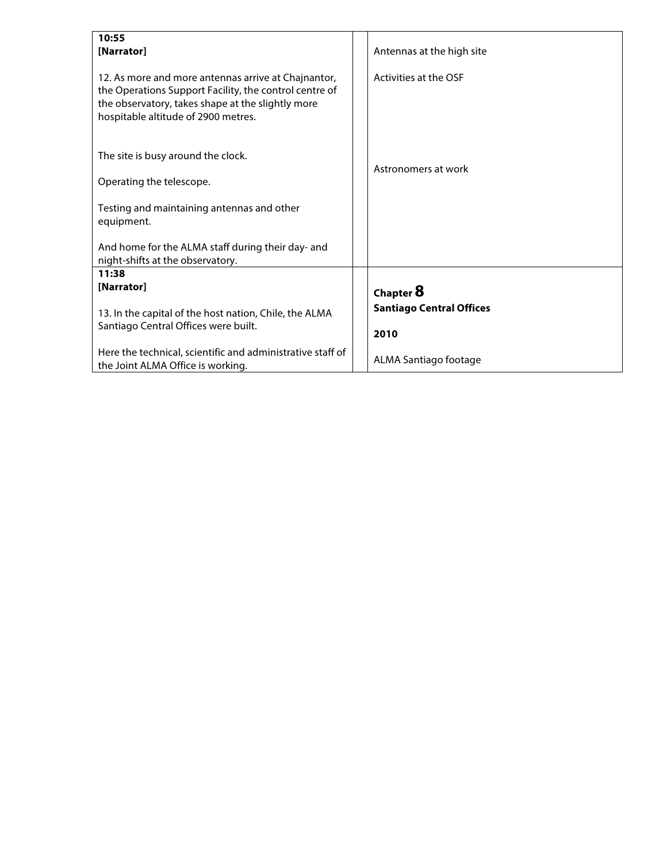| 10:55<br>[Narrator]                                                                                                                                                                                       | Antennas at the high site       |
|-----------------------------------------------------------------------------------------------------------------------------------------------------------------------------------------------------------|---------------------------------|
| 12. As more and more antennas arrive at Chajnantor,<br>the Operations Support Facility, the control centre of<br>the observatory, takes shape at the slightly more<br>hospitable altitude of 2900 metres. | Activities at the OSE           |
| The site is busy around the clock.                                                                                                                                                                        | Astronomers at work             |
| Operating the telescope.                                                                                                                                                                                  |                                 |
| Testing and maintaining antennas and other<br>equipment.                                                                                                                                                  |                                 |
| And home for the ALMA staff during their day- and<br>night-shifts at the observatory.                                                                                                                     |                                 |
| 11:38                                                                                                                                                                                                     |                                 |
| [Narrator]                                                                                                                                                                                                | Chapter 8                       |
| 13. In the capital of the host nation, Chile, the ALMA                                                                                                                                                    | <b>Santiago Central Offices</b> |
| Santiago Central Offices were built.                                                                                                                                                                      | 2010                            |
| Here the technical, scientific and administrative staff of<br>the Joint ALMA Office is working.                                                                                                           | ALMA Santiago footage           |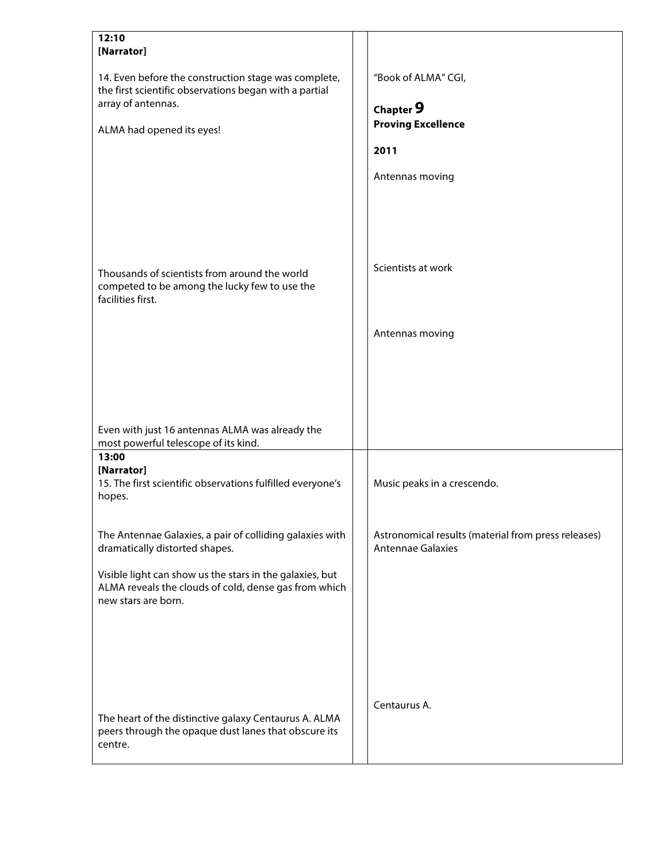| 12:10<br>[Narrator]                                                                                                                                                                                             |                                                                          |
|-----------------------------------------------------------------------------------------------------------------------------------------------------------------------------------------------------------------|--------------------------------------------------------------------------|
| 14. Even before the construction stage was complete,<br>the first scientific observations began with a partial<br>array of antennas.<br>ALMA had opened its eyes!                                               | "Book of ALMA" CGI,<br>Chapter 9<br><b>Proving Excellence</b><br>2011    |
| Thousands of scientists from around the world<br>competed to be among the lucky few to use the<br>facilities first.                                                                                             | Antennas moving<br>Scientists at work<br>Antennas moving                 |
| Even with just 16 antennas ALMA was already the<br>most powerful telescope of its kind.                                                                                                                         |                                                                          |
| 13:00<br>[Narrator]<br>15. The first scientific observations fulfilled everyone's<br>hopes.                                                                                                                     | Music peaks in a crescendo.                                              |
| The Antennae Galaxies, a pair of colliding galaxies with<br>dramatically distorted shapes.<br>Visible light can show us the stars in the galaxies, but<br>ALMA reveals the clouds of cold, dense gas from which | Astronomical results (material from press releases)<br>Antennae Galaxies |
| new stars are born.<br>The heart of the distinctive galaxy Centaurus A. ALMA<br>peers through the opaque dust lanes that obscure its<br>centre.                                                                 | Centaurus A.                                                             |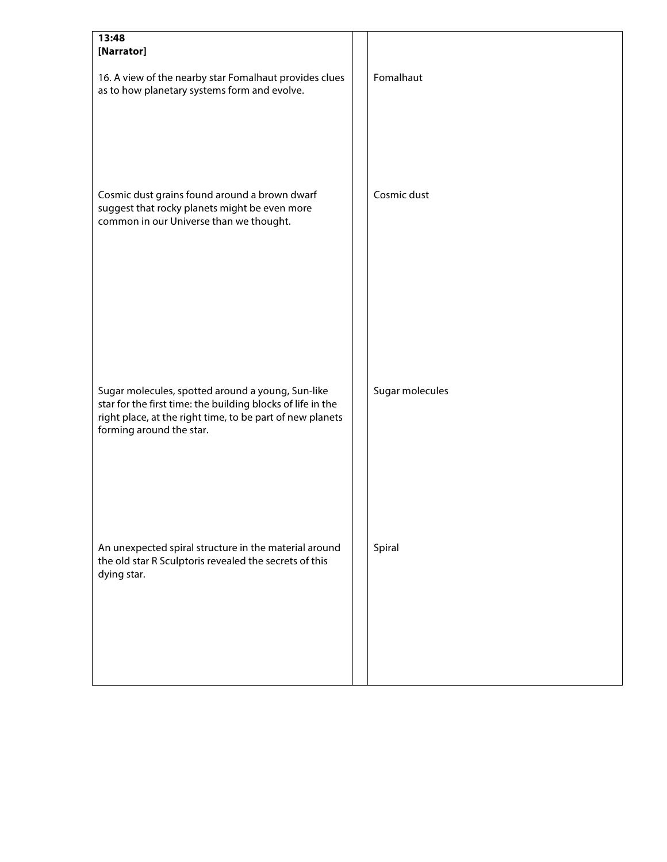| 13:48<br>[Narrator]                                                                                                                                                                                       |                 |
|-----------------------------------------------------------------------------------------------------------------------------------------------------------------------------------------------------------|-----------------|
| 16. A view of the nearby star Fomalhaut provides clues<br>as to how planetary systems form and evolve.                                                                                                    | Fomalhaut       |
| Cosmic dust grains found around a brown dwarf<br>suggest that rocky planets might be even more<br>common in our Universe than we thought.                                                                 | Cosmic dust     |
| Sugar molecules, spotted around a young, Sun-like<br>star for the first time: the building blocks of life in the<br>right place, at the right time, to be part of new planets<br>forming around the star. | Sugar molecules |
| An unexpected spiral structure in the material around<br>the old star R Sculptoris revealed the secrets of this<br>dying star.                                                                            | Spiral          |